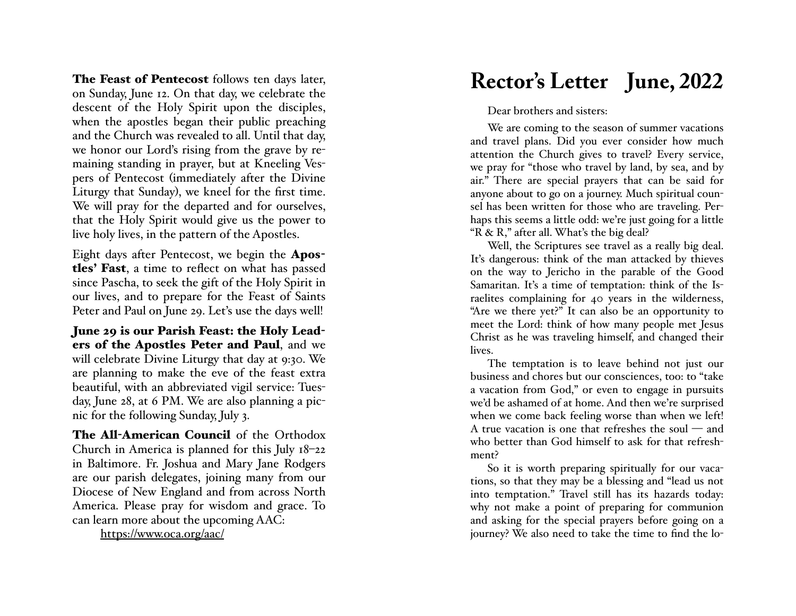The Feast of Pentecost follows ten days later, on Sunday, June 12. On that day, we celebrate the descent of the Holy Spirit upon the disciples, when the apostles began their public preaching and the Church was revealed to all. Until that day, we honor our Lord's rising from the grave by remaining standing in prayer, but at Kneeling Ves pers of Pentecost (immediately after the Divine Liturgy that Sunday), we kneel for the first time. We will pray for the departed and for ourselves, that the Holy Spirit would give us the power to live holy lives, in the pattern of the Apostles.

Eight days after Pentecost, we begin the Apos tles' Fast, a time to reflect on what has passed since Pascha, to seek the gift of the Holy Spirit in our lives, and to prepare for the Feast of Saints Peter and Paul on June 29. Let's use the days well!

June 29 is our Parish Feast: the Holy Lead ers of the Apostles Peter and Paul, and we will celebrate Divine Liturgy that day at 9:30. We are planning to make the eve of the feast extra beautiful, with an abbreviated vigil service: Tues day, June 28, at 6 PM. We are also planning a pic nic for the following Sunday, July 3.

**The All-American Council** of the Orthodox Church in America is planned for this July 18 –22 in Baltimore. Fr. Joshua and Mary Jane Rodgers are our parish delegates, joining many from our Diocese of New England and from across North America. Please pray for wisdom and grace. To can learn more about the upcoming AAC:

https://www.oca.org/aac/

## **Rector's Letter June, 2022**

Dear brothers and sisters:

We are coming to the season of summer vacations and travel plans. Did you ever consider how much attention the Church gives to travel? Every service, we pray for "those who travel by land, by sea, and by air." There are special prayers that can be said for anyone about to go on a journey. Much spiritual coun sel has been written for those who are traveling. Per haps this seems a little odd: we're just going for a little "R & R," after all. What's the big deal?

Well, the Scriptures see travel as a really big deal. It's dangerous: think of the man attacked by thieves on the way to Jericho in the parable of the Good Samaritan. It's a time of temptation: think of the Is raelites complaining for 40 years in the wilderness, "Are we there yet?" It can also be an opportunity to meet the Lord: think of how many people met Jesus Christ as he was traveling himself, and changed their lives.

The temptation is to leave behind not just our business and chores but our consciences, too: to "take a vacation from God," or even to engage in pursuits we'd be ashamed of at home. And then we're surprised when we come back feeling worse than when we left! A true vacation is one that refreshes the soul — and who better than God himself to ask for that refresh ment?

So it is worth preparing spiritually for our vaca tions, so that they may be a blessing and "lead us not into temptation." Travel still has its hazards today: why not make a point of preparing for communion and asking for the special prayers before going on a journey? We also need to take the time to find the lo -